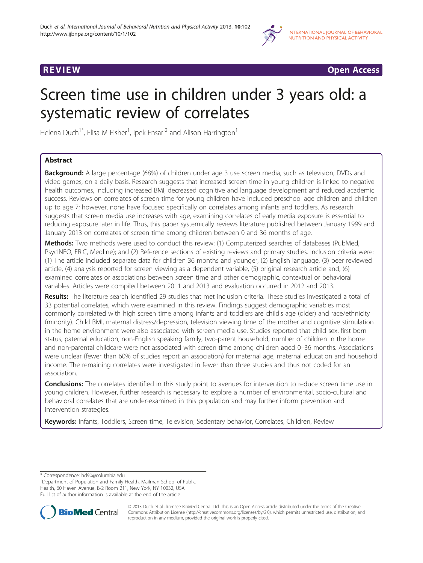



# Screen time use in children under 3 years old: a systematic review of correlates

Helena Duch<sup>1\*</sup>, Elisa M Fisher<sup>1</sup>, Ipek Ensari<sup>2</sup> and Alison Harrington<sup>1</sup>

# Abstract

Background: A large percentage (68%) of children under age 3 use screen media, such as television, DVDs and video games, on a daily basis. Research suggests that increased screen time in young children is linked to negative health outcomes, including increased BMI, decreased cognitive and language development and reduced academic success. Reviews on correlates of screen time for young children have included preschool age children and children up to age 7; however, none have focused specifically on correlates among infants and toddlers. As research suggests that screen media use increases with age, examining correlates of early media exposure is essential to reducing exposure later in life. Thus, this paper systemically reviews literature published between January 1999 and January 2013 on correlates of screen time among children between 0 and 36 months of age.

Methods: Two methods were used to conduct this review: (1) Computerized searches of databases (PubMed, PsycINFO, ERIC, Medline); and (2) Reference sections of existing reviews and primary studies. Inclusion criteria were: (1) The article included separate data for children 36 months and younger, (2) English language, (3) peer reviewed article, (4) analysis reported for screen viewing as a dependent variable, (5) original research article and, (6) examined correlates or associations between screen time and other demographic, contextual or behavioral variables. Articles were compiled between 2011 and 2013 and evaluation occurred in 2012 and 2013.

Results: The literature search identified 29 studies that met inclusion criteria. These studies investigated a total of 33 potential correlates, which were examined in this review. Findings suggest demographic variables most commonly correlated with high screen time among infants and toddlers are child's age (older) and race/ethnicity (minority). Child BMI, maternal distress/depression, television viewing time of the mother and cognitive stimulation in the home environment were also associated with screen media use. Studies reported that child sex, first born status, paternal education, non-English speaking family, two-parent household, number of children in the home and non-parental childcare were not associated with screen time among children aged 0–36 months. Associations were unclear (fewer than 60% of studies report an association) for maternal age, maternal education and household income. The remaining correlates were investigated in fewer than three studies and thus not coded for an association.

Conclusions: The correlates identified in this study point to avenues for intervention to reduce screen time use in young children. However, further research is necessary to explore a number of environmental, socio-cultural and behavioral correlates that are under-examined in this population and may further inform prevention and intervention strategies.

Keywords: Infants, Toddlers, Screen time, Television, Sedentary behavior, Correlates, Children, Review

\* Correspondence: [hd90@columbia.edu](mailto:hd90@columbia.edu) <sup>1</sup>

<sup>1</sup>Department of Population and Family Health, Mailman School of Public Health, 60 Haven Avenue, B-2 Room 211, New York, NY 10032, USA Full list of author information is available at the end of the article



© 2013 Duch et al.; licensee BioMed Central Ltd. This is an Open Access article distributed under the terms of the Creative Commons Attribution License [\(http://creativecommons.org/licenses/by/2.0\)](http://creativecommons.org/licenses/by/2.0), which permits unrestricted use, distribution, and reproduction in any medium, provided the original work is properly cited.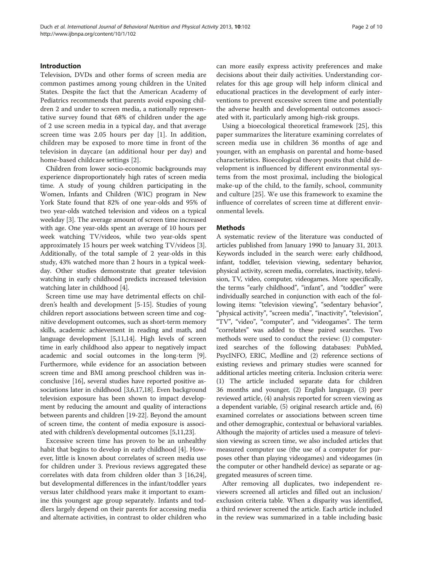# Introduction

Television, DVDs and other forms of screen media are common pastimes among young children in the United States. Despite the fact that the American Academy of Pediatrics recommends that parents avoid exposing children 2 and under to screen media, a nationally representative survey found that 68% of children under the age of 2 use screen media in a typical day, and that average screen time was 2.05 hours per day [[1\]](#page-8-0). In addition, children may be exposed to more time in front of the television in daycare (an additional hour per day) and home-based childcare settings [[2\]](#page-8-0).

Children from lower socio-economic backgrounds may experience disproportionately high rates of screen media time. A study of young children participating in the Women, Infants and Children (WIC) program in New York State found that 82% of one year-olds and 95% of two year-olds watched television and videos on a typical weekday [\[3](#page-8-0)]. The average amount of screen time increased with age. One year-olds spent an average of 10 hours per week watching TV/videos, while two year-olds spent approximately 15 hours per week watching TV/videos [[3](#page-8-0)]. Additionally, of the total sample of 2 year-olds in this study, 43% watched more than 2 hours in a typical weekday. Other studies demonstrate that greater television watching in early childhood predicts increased television watching later in childhood [\[4\]](#page-8-0).

Screen time use may have detrimental effects on children's health and development [[5](#page-8-0)-[15\]](#page-8-0). Studies of young children report associations between screen time and cognitive development outcomes, such as short-term memory skills, academic achievement in reading and math, and language development [[5,11,14\]](#page-8-0). High levels of screen time in early childhood also appear to negatively impact academic and social outcomes in the long-term [[9](#page-8-0)]. Furthermore, while evidence for an association between screen time and BMI among preschool children was inconclusive [[16\]](#page-8-0), several studies have reported positive associations later in childhood [\[3,6,17,18](#page-8-0)]. Even background television exposure has been shown to impact development by reducing the amount and quality of interactions between parents and children [[19-22\]](#page-8-0). Beyond the amount of screen time, the content of media exposure is associated with children's developmental outcomes [\[5,11,23\]](#page-8-0).

Excessive screen time has proven to be an unhealthy habit that begins to develop in early childhood [\[4](#page-8-0)]. However, little is known about correlates of screen media use for children under 3. Previous reviews aggregated these correlates with data from children older than 3 [\[16,24](#page-8-0)], but developmental differences in the infant/toddler years versus later childhood years make it important to examine this youngest age group separately. Infants and toddlers largely depend on their parents for accessing media and alternate activities, in contrast to older children who can more easily express activity preferences and make decisions about their daily activities. Understanding correlates for this age group will help inform clinical and educational practices in the development of early interventions to prevent excessive screen time and potentially the adverse health and developmental outcomes associated with it, particularly among high-risk groups.

Using a bioecological theoretical framework [[25](#page-8-0)], this paper summarizes the literature examining correlates of screen media use in children 36 months of age and younger, with an emphasis on parental and home-based characteristics. Bioecological theory posits that child development is influenced by different environmental systems from the most proximal, including the biological make-up of the child, to the family, school, community and culture [\[25](#page-8-0)]. We use this framework to examine the influence of correlates of screen time at different environmental levels.

# **Methods**

A systematic review of the literature was conducted of articles published from January 1990 to January 31, 2013. Keywords included in the search were: early childhood, infant, toddler, television viewing, sedentary behavior, physical activity, screen media, correlates, inactivity, television, TV, video, computer, videogames. More specifically, the terms "early childhood", "infant", and "toddler" were individually searched in conjunction with each of the following items: "television viewing", "sedentary behavior", "physical activity", "screen media", "inactivity", "television", "TV", "video", "computer", and "videogames". The term "correlates" was added to these paired searches. Two methods were used to conduct the review: (1) computerized searches of the following databases: PubMed, PsycINFO, ERIC, Medline and (2) reference sections of existing reviews and primary studies were scanned for additional articles meeting criteria. Inclusion criteria were: (1) The article included separate data for children 36 months and younger, (2) English language, (3) peer reviewed article, (4) analysis reported for screen viewing as a dependent variable, (5) original research article and, (6) examined correlates or associations between screen time and other demographic, contextual or behavioral variables. Although the majority of articles used a measure of television viewing as screen time, we also included articles that measured computer use (the use of a computer for purposes other than playing videogames) and videogames (in the computer or other handheld device) as separate or aggregated measures of screen time.

After removing all duplicates, two independent reviewers screened all articles and filled out an inclusion/ exclusion criteria table. When a disparity was identified, a third reviewer screened the article. Each article included in the review was summarized in a table including basic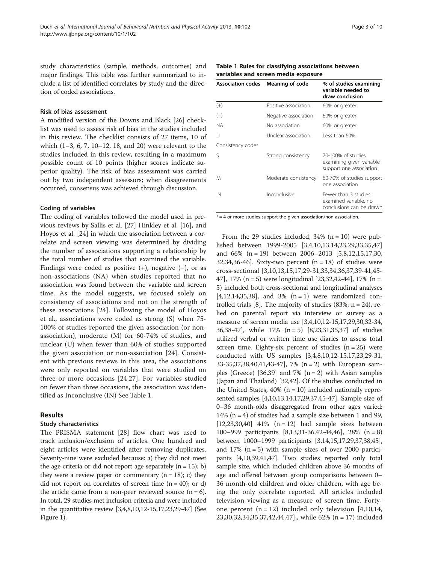study characteristics (sample, methods, outcomes) and major findings. This table was further summarized to include a list of identified correlates by study and the direction of coded associations.

### Risk of bias assessment

A modified version of the Downs and Black [\[26\]](#page-8-0) checklist was used to assess risk of bias in the studies included in this review. The checklist consists of 27 items, 10 of which (1–3, 6, 7, 10–12, 18, and 20) were relevant to the studies included in this review, resulting in a maximum possible count of 10 points (higher scores indicate superior quality). The risk of bias assessment was carried out by two independent assessors; when disagreements occurred, consensus was achieved through discussion.

#### Coding of variables

The coding of variables followed the model used in previous reviews by Sallis et al. [[27\]](#page-8-0) Hinkley et al. [[16\]](#page-8-0), and Hoyos et al. [[24](#page-8-0)] in which the association between a correlate and screen viewing was determined by dividing the number of associations supporting a relationship by the total number of studies that examined the variable. Findings were coded as positive  $(+)$ , negative  $(-)$ , or as non-associations (NA) when studies reported that no association was found between the variable and screen time. As the model suggests, we focused solely on consistency of associations and not on the strength of these associations [[24\]](#page-8-0). Following the model of Hoyos et al., associations were coded as strong (S) when 75- 100% of studies reported the given association (or nonassociation), moderate (M) for 60-74% of studies, and unclear (U) when fewer than 60% of studies supported the given association or non-association [\[24](#page-8-0)]. Consistent with previous reviews in this area, the associations were only reported on variables that were studied on three or more occasions [\[24,27](#page-8-0)]. For variables studied on fewer than three occasions, the association was identified as Inconclusive (IN) See Table 1.

### Results

#### Study characteristics

The PRISMA statement [\[28\]](#page-8-0) flow chart was used to track inclusion/exclusion of articles. One hundred and eight articles were identified after removing duplicates. Seventy-nine were excluded because: a) they did not meet the age criteria or did not report age separately  $(n = 15)$ ; b) they were a review paper or commentary  $(n = 18)$ ; c) they did not report on correlates of screen time  $(n = 40)$ ; or d) the article came from a non-peer reviewed source  $(n = 6)$ . In total, 29 studies met inclusion criteria and were included in the quantitative review [\[3,4,8,10,12](#page-8-0)-[15,17,23,29-](#page-8-0)[47\]](#page-9-0) (See Figure [1\)](#page-3-0).

| <b>Association codes</b> | Meaning of code      | % of studies examining<br>variable needed to<br>draw conclusion           |
|--------------------------|----------------------|---------------------------------------------------------------------------|
| $(+)$                    | Positive association | 60% or greater                                                            |
| $(-)$                    | Negative association | 60% or greater                                                            |
| ΝA                       | No association       | 60% or greater                                                            |
| U                        | Unclear association  | Less than 60%                                                             |
| Consistency codes        |                      |                                                                           |
| S                        | Strong consistency   | 70-100% of studies<br>examining given variable<br>support one association |
| Μ                        | Moderate consistency | 60-70% of studies support<br>one association                              |
| IN                       | Inconclusive         | Fewer than 3 studies<br>examined variable, no<br>conclusions can be drawn |

#### Table 1 Rules for classifying associations between variables and screen media exposure

 $* = 4$  or more studies support the given association/non-association.

From the 29 studies included,  $34\%$  (n = 10) were published between 1999-2005 [[3,4,10,13,14,23,29,](#page-8-0)[33](#page-9-0),[35](#page-9-0),[47](#page-9-0)] and 66% (n = 19) between 2006–2013 [[5](#page-8-0),[8,12,15,17](#page-8-0),[30](#page-8-0), [32,34](#page-9-0),[36](#page-9-0)-[46\]](#page-9-0). Sixty-two percent  $(n = 18)$  of studies were cross-sectional [[3,10,13,15](#page-8-0),[17](#page-8-0),[29](#page-8-0)-[31,33,34,36,37,39-41,45-](#page-9-0) [47\]](#page-9-0), 17% (n = 5) were longitudinal [\[23,](#page-8-0)[32,42](#page-9-0)-[44](#page-9-0)], 17% (n = 5) included both cross-sectional and longitudinal analyses  $[4,12,14,35,38]$  $[4,12,14,35,38]$  $[4,12,14,35,38]$  $[4,12,14,35,38]$ , and  $3\%$   $(n = 1)$  were randomized controlled trials [[8\]](#page-8-0). The majority of studies (83%, n = 24), relied on parental report via interview or survey as a measure of screen media use [\[3,4,10,12](#page-8-0)-[15,17,29,30,](#page-8-0)[32](#page-9-0)-[34](#page-9-0), [36,38](#page-9-0)-[47](#page-9-0)], while 17% (n = 5) [\[8,23](#page-8-0)[,31,35,37\]](#page-9-0) of studies utilized verbal or written time use diaries to assess total screen time. Eighty-six percent of studies  $(n = 25)$  were conducted with US samples [\[3,4,8,10,12](#page-8-0)-[15,17,23,29](#page-8-0)-[31](#page-9-0), [33](#page-9-0)-[35,37,38,40,41,43-47](#page-9-0)], 7% (n = 2) with European sam-ples (Greece) [[36,39](#page-9-0)] and 7%  $(n = 2)$  with Asian samples (Japan and Thailand) [\[32,42](#page-9-0)]. Of the studies conducted in the United States,  $40\%$  (n = 10) included nationally represented samples [[4,10](#page-8-0),[13,14,17,29](#page-8-0)[,37,45-47\]](#page-9-0). Sample size of 0–36 month-olds disaggregated from other ages varied: 14%  $(n = 4)$  of studies had a sample size between 1 and 99,  $[12,23,30,40]$  $[12,23,30,40]$  $[12,23,30,40]$  $[12,23,30,40]$  $[12,23,30,40]$  41%  $(n = 12)$  had sample sizes between 100–999 participants [\[8,13](#page-8-0)[,31-36,42-44,46](#page-9-0)], 28% (n = 8) between 1000–1999 participants [[3,14,15,17,29](#page-8-0)[,37,38,45](#page-9-0)], and 17%  $(n = 5)$  with sample sizes of over 2000 participants [[4](#page-8-0),[10](#page-8-0)[,39,41,47](#page-9-0)]. Two studies reported only total sample size, which included children above 36 months of age and offered between group comparisons between 0– 36 month-old children and older children, with age being the only correlate reported. All articles included television viewing as a measure of screen time. Fortyone percent  $(n = 12)$  included only television [[4,10,14](#page-8-0),] [23,30,](#page-8-0)[32,34](#page-9-0),[35,37,42,44](#page-9-0),[47\]](#page-9-0),, while 62% (n = 17) included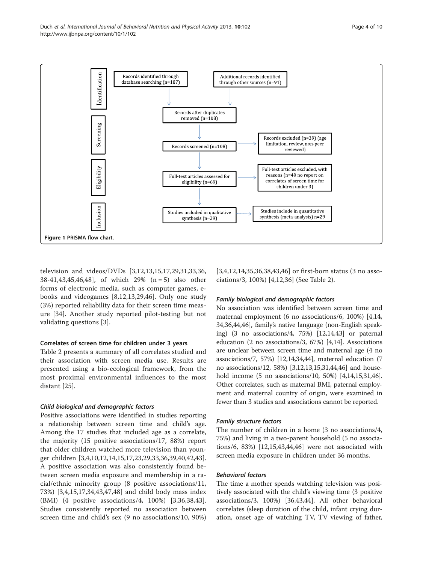<span id="page-3-0"></span>

television and videos/DVDs [\[3,12,13,15,17](#page-8-0),[29,](#page-8-0)[31,33,36](#page-9-0), [38-41](#page-9-0),[43,45,46,48](#page-9-0)], of which 29% (n = 5) also other forms of electronic media, such as computer games, ebooks and videogames [[8,12,13,29](#page-8-0),[46\]](#page-9-0). Only one study (3%) reported reliability data for their screen time measure [[34](#page-9-0)]. Another study reported pilot-testing but not validating questions [\[3](#page-8-0)].

### Correlates of screen time for children under 3 years

Table [2](#page-4-0) presents a summary of all correlates studied and their association with screen media use. Results are presented using a bio-ecological framework, from the most proximal environmental influences to the most distant [[25\]](#page-8-0).

#### Child biological and demographic factors

Positive associations were identified in studies reporting a relationship between screen time and child's age. Among the 17 studies that included age as a correlate, the majority (15 positive associations/17, 88%) report that older children watched more television than younger children [[3,4,10](#page-8-0),[12,14,15,17](#page-8-0),[23,29,](#page-8-0)[33,36,39](#page-9-0),[40,42,43](#page-9-0)]. A positive association was also consistently found between screen media exposure and membership in a racial/ethnic minority group (8 positive associations/11, 73%) [[3,4,15](#page-8-0),[17,](#page-8-0)[34,43,47,48\]](#page-9-0) and child body mass index (BMI) (4 positive associations/4, 100%) [\[3](#page-8-0),[36,38,43](#page-9-0)]. Studies consistently reported no association between screen time and child's sex (9 no associations/10, 90%)

[[3,4,12](#page-8-0),[14,](#page-8-0)[35,36,38](#page-9-0),[43,46\]](#page-9-0) or first-born status (3 no associations/3, 100%) [\[4](#page-8-0),[12,](#page-8-0)[36\]](#page-9-0) (See Table [2\)](#page-4-0).

#### Family biological and demographic factors

No association was identified between screen time and maternal employment (6 no associations/6, 100%) [[4](#page-8-0),[14](#page-8-0), [34,36](#page-9-0),[44](#page-9-0),[46](#page-9-0)], family's native language (non-English speaking) (3 no associations/4, 75%) [\[12,14](#page-8-0),[43](#page-9-0)] or paternal education (2 no associations/3, 67%) [[4,14](#page-8-0)]. Associations are unclear between screen time and maternal age (4 no associations/7, 57%) [[12,14,](#page-8-0)[34,44](#page-9-0)], maternal education (7 no associations/12, 58%) [\[3,12,13,15](#page-8-0)[,31,44,46](#page-9-0)] and household income (5 no associations/10, 50%) [[4,14,15](#page-8-0)[,31,46](#page-9-0)]. Other correlates, such as maternal BMI, paternal employment and maternal country of origin, were examined in fewer than 3 studies and associations cannot be reported.

#### Family structure factors

The number of children in a home (3 no associations/4, 75%) and living in a two-parent household (5 no associations/6, 83%) [\[12,15](#page-8-0)[,43,44,46](#page-9-0)] were not associated with screen media exposure in children under 36 months.

# Behavioral factors

The time a mother spends watching television was positively associated with the child's viewing time (3 positive associations/3, 100%) [[36](#page-9-0),[43](#page-9-0),[44](#page-9-0)]. All other behavioral correlates (sleep duration of the child, infant crying duration, onset age of watching TV, TV viewing of father,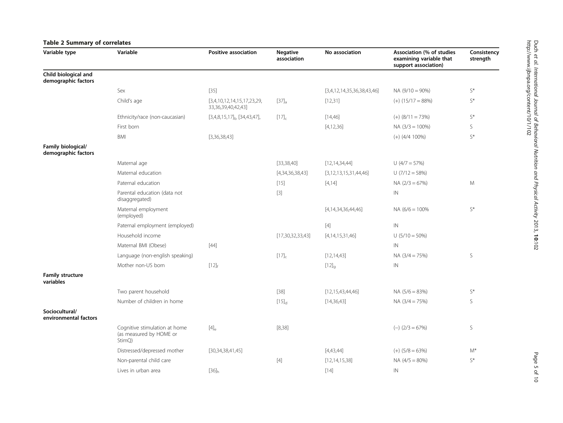# <span id="page-4-0"></span>Table 2 Summary of correlates

| Variable type                               | Variable                                                           | <b>Positive association</b>                           | <b>Negative</b><br>association | No association             | Association (% of studies<br>examining variable that<br>support association) | Consistency<br>strength |
|---------------------------------------------|--------------------------------------------------------------------|-------------------------------------------------------|--------------------------------|----------------------------|------------------------------------------------------------------------------|-------------------------|
| Child biological and<br>demographic factors |                                                                    |                                                       |                                |                            |                                                                              |                         |
|                                             | Sex                                                                | $[35]$                                                |                                | [3,4,12,14,35,36,38,43,46] | $NA(9/10 = 90\%)$                                                            | $\mathsf{S}^*$          |
|                                             | Child's age                                                        | [3,4,10,12,14,15,17,23,29,<br>33, 36, 39, 40, 42, 43] | $[37]_a$                       | [12,31]                    | $(+)$ (15/17 = 88%)                                                          | $S^*$                   |
|                                             | Ethnicity/race (non-caucasian)                                     | $[3,4,8,15,17]_b$ [34,43,47],                         | $[17]_{c}$                     | [14, 46]                   | $(+)$ (8/11 = 73%)                                                           | $S^*$                   |
|                                             | First born                                                         |                                                       |                                | [4, 12, 36]                | $NA (3/3 = 100%)$                                                            | S                       |
|                                             | BMI                                                                | [3,36,38,43]                                          |                                |                            | $(+)$ (4/4 100%)                                                             | $\mathsf{S}^*$          |
| Family biological/<br>demographic factors   |                                                                    |                                                       |                                |                            |                                                                              |                         |
|                                             | Maternal age                                                       |                                                       | [33, 38, 40]                   | [12, 14, 34, 44]           | $U(4/7 = 57%)$                                                               |                         |
|                                             | Maternal education                                                 |                                                       | [4,34,36,38,43]                | [3,12,13,15,31,44,46]      | $U(7/12 = 58%)$                                                              |                         |
|                                             | Paternal education                                                 |                                                       | $[15]$                         | [4, 14]                    | $NA (2/3 = 67%)$                                                             | M                       |
|                                             | Parental education (data not<br>disaggregated)                     |                                                       | $[3]$                          |                            | IN                                                                           |                         |
|                                             | Maternal employment<br>(employed)                                  |                                                       |                                | [4, 14, 34, 36, 44, 46]    | $NA (6/6 = 100\%$                                                            | $\mathsf{S}^*$          |
|                                             | Paternal employment (employed)                                     |                                                       |                                | $[4]$                      | IN                                                                           |                         |
|                                             | Household income                                                   |                                                       | [17,30,32,33,43]               | [4, 14, 15, 31, 46]        | $U(5/10 = 50\%)$                                                             |                         |
|                                             | Maternal BMI (Obese)                                               | $[44]$                                                |                                |                            | IN                                                                           |                         |
|                                             | Language (non-english speaking)                                    |                                                       | $[17]_{c}$                     | [12, 14, 43]               | $NA (3/4 = 75%)$                                                             | S                       |
|                                             | Mother non-US born                                                 | $[12]$ <sub>f</sub>                                   |                                | $[12]_q$                   | IN                                                                           |                         |
| <b>Family structure</b><br>variables        |                                                                    |                                                       |                                |                            |                                                                              |                         |
|                                             | Two parent household                                               |                                                       | $[38]$                         | [12, 15, 43, 44, 46]       | $NA (5/6 = 83%)$                                                             | $\mathsf{S}^*$          |
|                                             | Number of children in home                                         |                                                       | $[15]_d$                       | [14, 36, 43]               | $NA (3/4 = 75%)$                                                             | S                       |
| Sociocultural/<br>environmental factors     |                                                                    |                                                       |                                |                            |                                                                              |                         |
|                                             | Cognitive stimulation at home<br>(as measured by HOME or<br>StimQ) | $[4]_{\rm e}$                                         | [8, 38]                        |                            | $(-)$ (2/3 = 67%)                                                            | S                       |
|                                             | Distressed/depressed mother                                        | [30,34,38,41,45]                                      |                                | [4,43,44]                  | $(+)$ (5/8 = 63%)                                                            | M*                      |
|                                             | Non-parental child care                                            |                                                       | $[4]$                          | [12, 14, 15, 38]           | $NA (4/5 = 80%)$                                                             | $\mathsf{S}^*$          |
|                                             | Lives in urban area                                                | $[36]_h$                                              |                                | $[14]$                     | IN                                                                           |                         |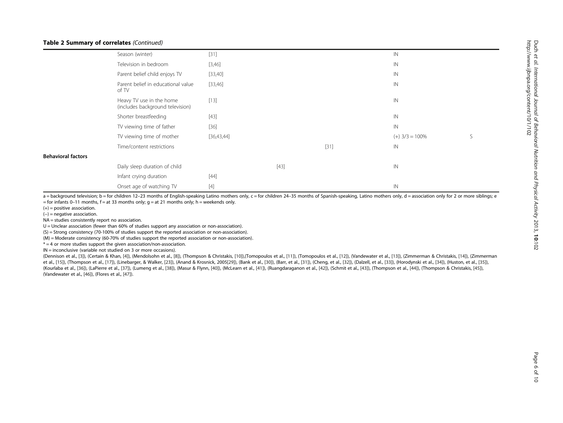#### Table 2 Summary of correlates (Continued)

|                           | Season (winter)                                              | $[31]$     |        |        | IN               |   |
|---------------------------|--------------------------------------------------------------|------------|--------|--------|------------------|---|
|                           | Television in bedroom                                        | [3,46]     |        |        | IN               |   |
|                           | Parent belief child enjoys TV                                | [33,40]    |        |        | IN               |   |
|                           | Parent belief in educational value<br>of TV                  | [33,46]    |        |        | IN               |   |
|                           | Heavy TV use in the home<br>(includes background television) | $[13]$     |        |        | IN               |   |
|                           | Shorter breastfeeding                                        | $[43]$     |        |        | IN               |   |
|                           | TV viewing time of father                                    | $[36]$     |        |        | IN               |   |
|                           | TV viewing time of mother                                    | [36,43,44] |        |        | $(+)$ 3/3 = 100% | S |
|                           | Time/content restrictions                                    |            |        | $[31]$ | IN               |   |
| <b>Behavioral factors</b> |                                                              |            |        |        |                  |   |
|                           | Daily sleep duration of child                                |            | $[43]$ |        | IN               |   |
|                           | Infant crying duration                                       | $[44]$     |        |        |                  |   |
|                           | Onset age of watching TV                                     | $[4]$      |        |        | $\mathsf{IN}$    |   |

 $a =$  background television; b = for children 12–23 months of English-speaking Latino mothers only, c = for children 24–35 months of Spanish-speaking, Latino mothers only, d = association only for 2 or more siblings; e  $=$  for infants 0–11 months, f = at 33 months only; g = at 21 months only; h = weekends only.

 $(+)$  = positive association.

(−) = negative association.

NA = studies consistently report no association.

U = Unclear association (fewer than 60% of studies support any association or non-association).

(S) = Strong consistency (70-100% of studies support the reported association or non-association).

(M) = Moderate consistency (60-70% of studies support the reported association or non-association).

 $* = 4$  or more studies support the given association/non-association.

IN = inconclusive (variable not studied on 3 or more occasions).

(Dennison et al., [[3](#page-8-0)]), (Certain & Khan, [\[4\]](#page-8-0)), (Mendolsohn et al., [[8](#page-8-0)]), (Thompson & Christakis, [[10\]](#page-8-0)),(Tomopoulos et al., [[11\]](#page-8-0)), (Tomopoulos et al., [[12\]](#page-8-0)), (Vandewater et al., [[13](#page-8-0)]), (Zimmerman & Christakis, [\[14](#page-8-0)]), (Zimme et al., [[15\]](#page-8-0)), (Thompson et al., [\[17](#page-8-0)]), (Linebarger, & Walker, [[23\]](#page-8-0)), (Anand & Krosnick, 2005[\[29](#page-8-0)]), (Bank et al., [[30\]](#page-8-0)), (Barr, et al., [\[31](#page-9-0)]), (Cheng, et al., [\[32](#page-9-0)]), (Chalell, et al., [\[33](#page-9-0)]), (Horodynski et al., [[34\]](#page-9-0)), (Hus (Kourlaba et al., [[36\]](#page-9-0)), (LaPierre et al., [[37\]](#page-9-0)), (Lumeng et al., [\[38](#page-9-0)]), (Masur & Flynn, [\[40](#page-9-0)]), (McLearn et al., [[41\]](#page-9-0)), (Ruangdaraganon et al., [\[42\]](#page-9-0)), (Schmit et al., [[43](#page-9-0)]), (Thompson et al., [[44\]](#page-9-0)), (Thompson & Christakis, (Vandewater et al., [[46\]](#page-9-0)), (Flores et al., [\[47\]](#page-9-0)).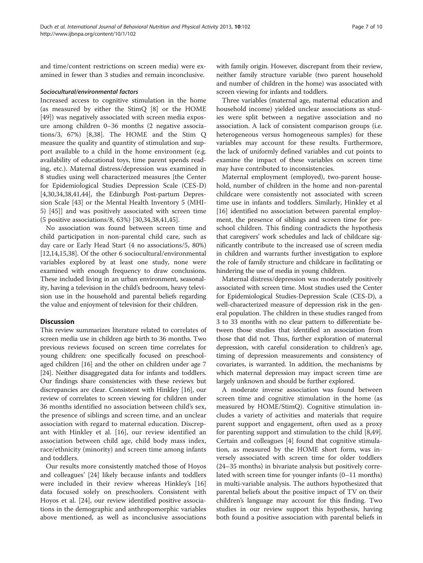and time/content restrictions on screen media) were examined in fewer than 3 studies and remain inconclusive.

# Sociocultural/environmental factors

Increased access to cognitive stimulation in the home (as measured by either the StimQ [\[8\]](#page-8-0) or the HOME [[49\]](#page-9-0)) was negatively associated with screen media exposure among children 0–36 months (2 negative associations/3, 67%) [[8,](#page-8-0)[38\]](#page-9-0). The HOME and the Stim Q measure the quality and quantity of stimulation and support available to a child in the home environment (e.g. availability of educational toys, time parent spends reading, etc.). Maternal distress/depression was examined in 8 studies using well characterized measures [the Center for Epidemiological Studies Depression Scale (CES-D) [[4,30,](#page-8-0)[34,38,41,44\]](#page-9-0), the Edinburgh Post-partum Depression Scale [\[43](#page-9-0)] or the Mental Health Inventory 5 (MHI-5) [\[45](#page-9-0)]] and was positively associated with screen time (5 positive associations/8, 63%) [\[30,](#page-8-0)[34,38,41,45\]](#page-9-0).

No association was found between screen time and child participation in non-parental child care, such as day care or Early Head Start (4 no associations/5, 80%) [[12,14,15,](#page-8-0)[38\]](#page-9-0). Of the other 6 sociocultural/environmental variables explored by at least one study, none were examined with enough frequency to draw conclusions. These included living in an urban environment, seasonality, having a television in the child's bedroom, heavy television use in the household and parental beliefs regarding the value and enjoyment of television for their children.

# Discussion

This review summarizes literature related to correlates of screen media use in children age birth to 36 months. Two previous reviews focused on screen time correlates for young children: one specifically focused on preschoolaged children [[16](#page-8-0)] and the other on children under age 7 [[24](#page-8-0)]. Neither disaggregated data for infants and toddlers. Our findings share consistencies with these reviews but discrepancies are clear. Consistent with Hinkley [\[16\]](#page-8-0), our review of correlates to screen viewing for children under 36 months identified no association between child's sex, the presence of siblings and screen time, and an unclear association with regard to maternal education. Discrepant with Hinkley et al. [\[16](#page-8-0)], our review identified an association between child age, child body mass index, race/ethnicity (minority) and screen time among infants and toddlers.

Our results more consistently matched those of Hoyos and colleagues' [[24\]](#page-8-0) likely because infants and toddlers were included in their review whereas Hinkley's [[16](#page-8-0)] data focused solely on preschoolers. Consistent with Hoyos et al. [[24\]](#page-8-0), our review identified positive associations in the demographic and anthropomorphic variables above mentioned, as well as inconclusive associations with family origin. However, discrepant from their review, neither family structure variable (two parent household and number of children in the home) was associated with screen viewing for infants and toddlers.

Three variables (maternal age, maternal education and household income) yielded unclear associations as studies were split between a negative association and no association. A lack of consistent comparison groups (i.e. heterogeneous versus homogeneous samples) for these variables may account for these results. Furthermore, the lack of uniformly defined variables and cut points to examine the impact of these variables on screen time may have contributed to inconsistencies.

Maternal employment (employed), two-parent household, number of children in the home and non-parental childcare were consistently not associated with screen time use in infants and toddlers. Similarly, Hinkley et al [[16\]](#page-8-0) identified no association between parental employment, the presence of siblings and screen time for preschool children. This finding contradicts the hypothesis that caregivers' work schedules and lack of childcare significantly contribute to the increased use of screen media in children and warrants further investigation to explore the role of family structure and childcare in facilitating or hindering the use of media in young children.

Maternal distress/depression was moderately positively associated with screen time. Most studies used the Center for Epidemiological Studies-Depression Scale (CES-D), a well-characterized measure of depression risk in the general population. The children in these studies ranged from 3 to 33 months with no clear pattern to differentiate between those studies that identified an association from those that did not. Thus, further exploration of maternal depression, with careful consideration to children's age, timing of depression measurements and consistency of covariates, is warranted. In addition, the mechanisms by which maternal depression may impact screen time are largely unknown and should be further explored.

A moderate inverse association was found between screen time and cognitive stimulation in the home (as measured by HOME/StimQ). Cognitive stimulation includes a variety of activities and materials that require parent support and engagement, often used as a proxy for parenting support and stimulation to the child [\[8](#page-8-0)[,49](#page-9-0)]. Certain and colleagues [[4\]](#page-8-0) found that cognitive stimulation, as measured by the HOME short form, was inversely associated with screen time for older toddlers (24–35 months) in bivariate analysis but positively correlated with screen time for younger infants (0–11 months) in multi-variable analysis. The authors hypothesized that parental beliefs about the positive impact of TV on their children's language may account for this finding. Two studies in our review support this hypothesis, having both found a positive association with parental beliefs in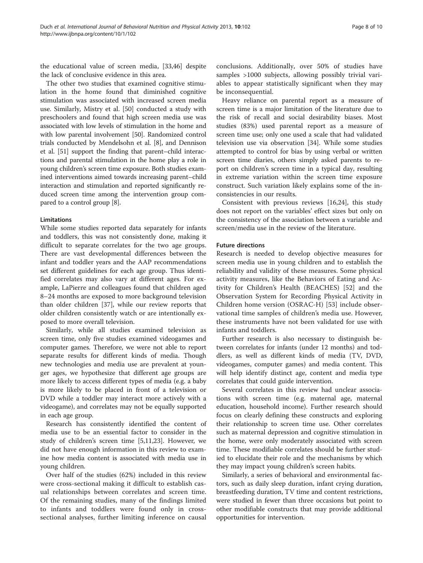the educational value of screen media, [[33,46\]](#page-9-0) despite the lack of conclusive evidence in this area.

The other two studies that examined cognitive stimulation in the home found that diminished cognitive stimulation was associated with increased screen media use. Similarly, Mistry et al. [[50](#page-9-0)] conducted a study with preschoolers and found that high screen media use was associated with low levels of stimulation in the home and with low parental involvement [\[50\]](#page-9-0). Randomized control trials conducted by Mendelsohn et al. [[8](#page-8-0)], and Dennison et al. [\[51\]](#page-9-0) support the finding that parent–child interactions and parental stimulation in the home play a role in young children's screen time exposure. Both studies examined interventions aimed towards increasing parent–child interaction and stimulation and reported significantly reduced screen time among the intervention group compared to a control group [\[8](#page-8-0)].

## Limitations

While some studies reported data separately for infants and toddlers, this was not consistently done, making it difficult to separate correlates for the two age groups. There are vast developmental differences between the infant and toddler years and the AAP recommendations set different guidelines for each age group. Thus identified correlates may also vary at different ages. For example, LaPierre and colleagues found that children aged 8–24 months are exposed to more background television than older children [[37\]](#page-9-0), while our review reports that older children consistently watch or are intentionally exposed to more overall television.

Similarly, while all studies examined television as screen time, only five studies examined videogames and computer games. Therefore, we were not able to report separate results for different kinds of media. Though new technologies and media use are prevalent at younger ages, we hypothesize that different age groups are more likely to access different types of media (e.g. a baby is more likely to be placed in front of a television or DVD while a toddler may interact more actively with a videogame), and correlates may not be equally supported in each age group.

Research has consistently identified the content of media use to be an essential factor to consider in the study of children's screen time [\[5,11,23](#page-8-0)]. However, we did not have enough information in this review to examine how media content is associated with media use in young children.

Over half of the studies (62%) included in this review were cross-sectional making it difficult to establish casual relationships between correlates and screen time. Of the remaining studies, many of the findings limited to infants and toddlers were found only in crosssectional analyses, further limiting inference on causal

conclusions. Additionally, over 50% of studies have samples >1000 subjects, allowing possibly trivial variables to appear statistically significant when they may be inconsequential.

Heavy reliance on parental report as a measure of screen time is a major limitation of the literature due to the risk of recall and social desirability biases. Most studies (83%) used parental report as a measure of screen time use; only one used a scale that had validated television use via observation [\[34](#page-9-0)]. While some studies attempted to control for bias by using verbal or written screen time diaries, others simply asked parents to report on children's screen time in a typical day, resulting in extreme variation within the screen time exposure construct. Such variation likely explains some of the inconsistencies in our results.

Consistent with previous reviews [[16,24\]](#page-8-0), this study does not report on the variables' effect sizes but only on the consistency of the association between a variable and screen/media use in the review of the literature.

#### Future directions

Research is needed to develop objective measures for screen media use in young children and to establish the reliability and validity of these measures. Some physical activity measures, like the Behaviors of Eating and Activity for Children's Health (BEACHES) [[52\]](#page-9-0) and the Observation System for Recording Physical Activity in Children home version (OSRAC-H) [\[53](#page-9-0)] include observational time samples of children's media use. However, these instruments have not been validated for use with infants and toddlers.

Further research is also necessary to distinguish between correlates for infants (under 12 months) and toddlers, as well as different kinds of media (TV, DVD, videogames, computer games) and media content. This will help identify distinct age, content and media type correlates that could guide intervention.

Several correlates in this review had unclear associations with screen time (e.g. maternal age, maternal education, household income). Further research should focus on clearly defining these constructs and exploring their relationship to screen time use. Other correlates such as maternal depression and cognitive stimulation in the home, were only moderately associated with screen time. These modifiable correlates should be further studied to elucidate their role and the mechanisms by which they may impact young children's screen habits.

Similarly, a series of behavioral and environmental factors, such as daily sleep duration, infant crying duration, breastfeeding duration, TV time and content restrictions, were studied in fewer than three occasions but point to other modifiable constructs that may provide additional opportunities for intervention.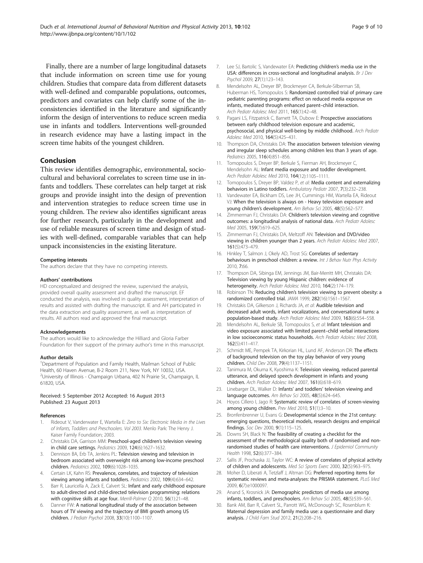<span id="page-8-0"></span>Finally, there are a number of large longitudinal datasets that include information on screen time use for young children. Studies that compare data from different datasets with well-defined and comparable populations, outcomes, predictors and covariates can help clarify some of the inconsistencies identified in the literature and significantly inform the design of interventions to reduce screen media use in infants and toddlers. Interventions well-grounded in research evidence may have a lasting impact in the screen time habits of the youngest children.

#### Conclusion

This review identifies demographic, environmental, sociocultural and behavioral correlates to screen time use in infants and toddlers. These correlates can help target at risk groups and provide insight into the design of prevention and intervention strategies to reduce screen time use in young children. The review also identifies significant areas for further research, particularly in the development and use of reliable measures of screen time and design of studies with well-defined, comparable variables that can help unpack inconsistencies in the existing literature.

#### Competing interests

The authors declare that they have no competing interests.

#### Authors' contributions

HD conceptualized and designed the review, supervised the analysis, provided overall quality assessment and drafted the manuscript. EF conducted the analysis, was involved in quality assessment, interpretation of results and assisted with drafting the manuscript. IE and AH participated in the data extraction and quality assessment, as well as interpretation of results. All authors read and approved the final manuscript.

#### Acknowledgements

The authors would like to acknowledge the Hilliard and Gloria Farber Foundation for their support of the primary author's time in this manuscript.

#### Author details

<sup>1</sup>Department of Population and Family Health, Mailman School of Public Health, 60 Haven Avenue, B-2 Room 211, New York, NY 10032, USA. <sup>2</sup>University of Illinois - Champaign Urbana, 402 N Prairie St., Champaign, IL 61820, USA.

#### Received: 5 September 2012 Accepted: 16 August 2013 Published: 23 August 2013

#### References

- 1. Rideout V, Vanderwater E, Wartella E: Zero to Six: Electronic Media in the Lives of Infants, Toddlers and Preschoolers. Vol 2003. Menlo Park: The Henry J. Kaiser Family Foundation; 2003.
- 2. Christakis DA, Garrison MM: Preschool-aged children's television viewing in child care settings. Pediatrics 2009, 124(6):1627–1632.
- Dennison BA, Erb TA, Jenkins PL: Television viewing and television in bedroom associated with overweight risk among low-income preschool children. Pediatrics 2002, 109(6):1028–1035.
- 4. Certain LK, Kahn RS: Prevalence, correlates, and trajectory of television viewing among infants and toddlers. Pediatrics 2002, 109(4):634–642.
- Barr R, Lauricella A, Zack E, Calvert SL: Infant and early childhood exposure to adult-directed and child-directed television programming: relations with cognitive skills at age four. Merrill-Palmer Q 2010, 56(1):21–48.
- Danner FW: A national longitudinal study of the association between hours of TV viewing and the trajectory of BMI growth among US children. J Pediatr Psychol 2008, 33(10):1100–1107.
- 7. Lee SJ, Bartolic S, Vandewater EA: Predicting children's media use in the USA: differences in cross-sectional and longitudinal analysis. Br J Dev Psychol 2009, 27(1):123–143.
- 8. Mendelsohn AL, Dreyer BP, Brockmeyer CA, Berkule-Silberman SB, Huberman HS, Tomopoulos S: Randomized controlled trial of primary care pediatric parenting programs: effect on reduced media exposrue on infants, mediated through enhanced parent–child interaction. Arch Pediatr Adolesc Med 2011, 165(1):42–48.
- 9. Pagani LS, Fitzpatrick C, Barnett TA, Dubow E: Prospective associations between early childhood television exposure and academic, psychosocial, and physical well-being by middle childhood. Arch Pediatr Adolesc Med 2010, 164(5):425–431.
- 10. Thompson DA, Christakis DA: The association between television viewing and irregular sleep schedules among children less than 3 years of age. Pediatrics 2005, 116(4):851–856.
- 11. Tomopoulos S, Dreyer BP, Berkule S, Fierman AH, Brockmeyer C, Mendelsohn AL: Infant media exposure and toddler development. Arch Pediatr Adolesc Med 2010, 164(12):1105-1111.
- 12. Tomopoulos S, Dreyer BP, Valdez P, et al: Media content and externalizing behaviors in Latino toddlers. Ambulatory Pediatr 2007, 7(3):232–238.
- 13. Vandewater EA, Bickham DS, Lee JH, Cummings HM, Wartella EA, Rideout VJ: When the television is always on - Heavy television exposure and young children's development. Am Behav Sci 2005, 48(5):562–577.
- 14. Zimmerman FJ, Christakis DA: Children's television viewing and cognitive outcomes: a longitudinal analysis of national data. Arch Pediatr Adolesc Med 2005, 159(7):619–625.
- 15. Zimmerman FJ, Christakis DA, Meltzoff AN: Television and DVD/video viewing in children younger than 2 years. Arch Pediatr Adolesc Med 2007, 161(5):473–479.
- 16. Hinkley T, Salmon J, Okely AD, Trost SG: Correlates of sedentary behaviours in preschool children: a review. Int J Behav Nutr Phys Activity 2010, 7:66.
- 17. Thompson DA, Sibinga EM, Jennings JM, Bair-Merritt MH, Christakis DA: Television viewing by young Hispanic children: evidence of heterogeneity. Arch Pediatr Adolesc Med 2010. 164(2):174-179.
- 18. Robinson TN: Reducing children's television viewing to prevent obesity: a randomized controlled trial. JAMA 1999, 282(16):1561–1567.
- 19. Christakis DA, Gilkerson J, Richards JA, et al: Audible television and decreased adult words, infant vocalizations, and conversational turns: a population-based study. Arch Pediatr Adolesc Med 2009, 163(6):554–558.
- 20. Mendelsohn AL, Berkule SB, Tomopoulos S, et al: Infant television and video exposure associated with limited parent–child verbal interactions in low socioeconomic status households. Arch Pediatr Adolesc Med 2008, 162(5):411–417.
- 21. Schmidt ME, Pempek TA, Kirkorian HL, Lund AF, Anderson DR: The effects of background television on the toy play behavior of very young children. Child Dev 2008, 79(4):1137–1151.
- 22. Tanimura M, Okuma K, Kyoshima K: Television viewing, reduced parental utterance, and delayed speech development in infants and young children. Arch Pediatr Adolesc Med 2007, 161(6):618–619.
- 23. Linebarger DL, Walker D: Infants' and toddlers' television viewing and language outcomes. Am Behav Sci 2005, 48(5):624–645.
- 24. Hoyos Cillero I, Jago R: Systematic review of correlates of screen-viewing among young children. Prev Med 2010, 51(1):3–10.
- 25. Bronfenbrenner U, Evans G: Developmental science in the 21st century: emerging questions, theoretical models, research designs and empirical findings. Soc Dev 2000, 9(1):115–125.
- 26. Downs SH, Black N: The feasibility of creating a checklist for the assessment of the methodological quality both of randomised and nonrandomised studies of health care interventions. J Epidemiol Community Health 1998, 52(6):377–384.
- 27. Sallis JF, Prochaska JJ, Taylor WC: A review of correlates of physical activity of children and adolescents. Med Sci Sports Exerc 2000, 32(5):963–975.
- 28. Moher D, Liberati A, Tetzlaff J, Altman DG: Preferred reporting items for systematic reviews and meta-analyses: the PRISMA statement. PLoS Med 2009, 6(7):e1000097.
- 29. Anand S, Krosnick JA: Demographic predictors of media use among infants, toddlers, and preschoolers. Am Behav Sci 2005, 48(5):539–561.
- 30. Bank AM, Barr R, Calvert SL, Parrott WG, McDonough SC, Rosenblum K: Maternal depression and family media use: a questionnaire and diary analysis. J Child Fam Stud 2012, 21(2):208–216.